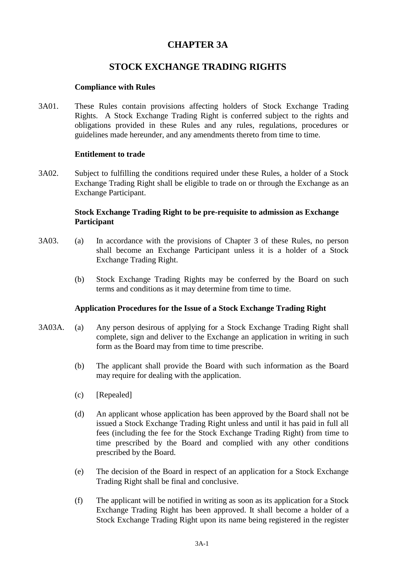## **CHAPTER 3A**

# **STOCK EXCHANGE TRADING RIGHTS**

## **Compliance with Rules**

3A01. These Rules contain provisions affecting holders of Stock Exchange Trading Rights. A Stock Exchange Trading Right is conferred subject to the rights and obligations provided in these Rules and any rules, regulations, procedures or guidelines made hereunder, and any amendments thereto from time to time.

### **Entitlement to trade**

3A02. Subject to fulfilling the conditions required under these Rules, a holder of a Stock Exchange Trading Right shall be eligible to trade on or through the Exchange as an Exchange Participant.

## **Stock Exchange Trading Right to be pre-requisite to admission as Exchange Participant**

- 3A03. (a) In accordance with the provisions of Chapter 3 of these Rules, no person shall become an Exchange Participant unless it is a holder of a Stock Exchange Trading Right.
	- (b) Stock Exchange Trading Rights may be conferred by the Board on such terms and conditions as it may determine from time to time.

#### **Application Procedures for the Issue of a Stock Exchange Trading Right**

- 3A03A. (a) Any person desirous of applying for a Stock Exchange Trading Right shall complete, sign and deliver to the Exchange an application in writing in such form as the Board may from time to time prescribe.
	- (b) The applicant shall provide the Board with such information as the Board may require for dealing with the application.
	- (c) [Repealed]
	- (d) An applicant whose application has been approved by the Board shall not be issued a Stock Exchange Trading Right unless and until it has paid in full all fees (including the fee for the Stock Exchange Trading Right) from time to time prescribed by the Board and complied with any other conditions prescribed by the Board.
	- (e) The decision of the Board in respect of an application for a Stock Exchange Trading Right shall be final and conclusive.
	- (f) The applicant will be notified in writing as soon as its application for a Stock Exchange Trading Right has been approved. It shall become a holder of a Stock Exchange Trading Right upon its name being registered in the register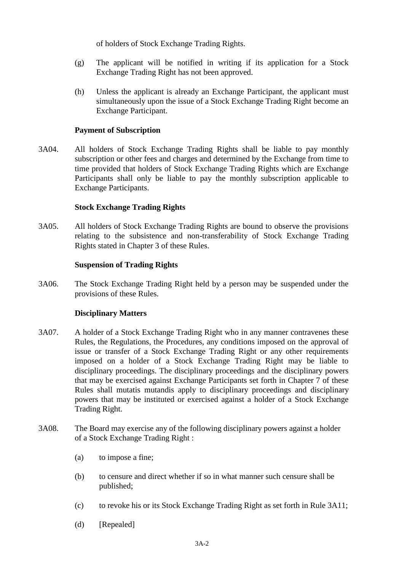of holders of Stock Exchange Trading Rights.

- (g) The applicant will be notified in writing if its application for a Stock Exchange Trading Right has not been approved.
- (h) Unless the applicant is already an Exchange Participant, the applicant must simultaneously upon the issue of a Stock Exchange Trading Right become an Exchange Participant.

### **Payment of Subscription**

3A04. All holders of Stock Exchange Trading Rights shall be liable to pay monthly subscription or other fees and charges and determined by the Exchange from time to time provided that holders of Stock Exchange Trading Rights which are Exchange Participants shall only be liable to pay the monthly subscription applicable to Exchange Participants.

### **Stock Exchange Trading Rights**

3A05. All holders of Stock Exchange Trading Rights are bound to observe the provisions relating to the subsistence and non-transferability of Stock Exchange Trading Rights stated in Chapter 3 of these Rules.

### **Suspension of Trading Rights**

3A06. The Stock Exchange Trading Right held by a person may be suspended under the provisions of these Rules.

#### **Disciplinary Matters**

- 3A07. A holder of a Stock Exchange Trading Right who in any manner contravenes these Rules, the Regulations, the Procedures, any conditions imposed on the approval of issue or transfer of a Stock Exchange Trading Right or any other requirements imposed on a holder of a Stock Exchange Trading Right may be liable to disciplinary proceedings. The disciplinary proceedings and the disciplinary powers that may be exercised against Exchange Participants set forth in Chapter 7 of these Rules shall mutatis mutandis apply to disciplinary proceedings and disciplinary powers that may be instituted or exercised against a holder of a Stock Exchange Trading Right.
- 3A08. The Board may exercise any of the following disciplinary powers against a holder of a Stock Exchange Trading Right :
	- (a) to impose a fine;
	- (b) to censure and direct whether if so in what manner such censure shall be published;
	- (c) to revoke his or its Stock Exchange Trading Right as set forth in Rule 3A11;
	- (d) [Repealed]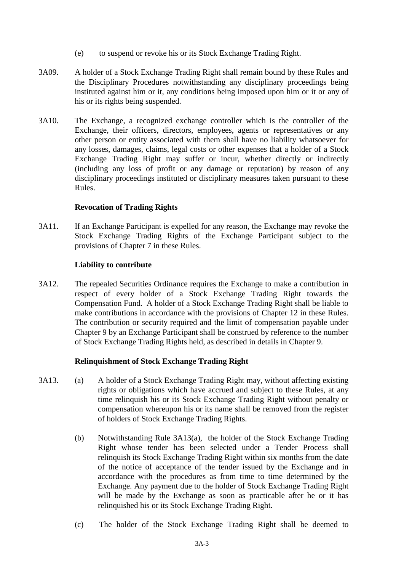- (e) to suspend or revoke his or its Stock Exchange Trading Right.
- 3A09. A holder of a Stock Exchange Trading Right shall remain bound by these Rules and the Disciplinary Procedures notwithstanding any disciplinary proceedings being instituted against him or it, any conditions being imposed upon him or it or any of his or its rights being suspended.
- 3A10. The Exchange, a recognized exchange controller which is the controller of the Exchange, their officers, directors, employees, agents or representatives or any other person or entity associated with them shall have no liability whatsoever for any losses, damages, claims, legal costs or other expenses that a holder of a Stock Exchange Trading Right may suffer or incur, whether directly or indirectly (including any loss of profit or any damage or reputation) by reason of any disciplinary proceedings instituted or disciplinary measures taken pursuant to these Rules.

### **Revocation of Trading Rights**

3A11. If an Exchange Participant is expelled for any reason, the Exchange may revoke the Stock Exchange Trading Rights of the Exchange Participant subject to the provisions of Chapter 7 in these Rules.

### **Liability to contribute**

3A12. The repealed Securities Ordinance requires the Exchange to make a contribution in respect of every holder of a Stock Exchange Trading Right towards the Compensation Fund. A holder of a Stock Exchange Trading Right shall be liable to make contributions in accordance with the provisions of Chapter 12 in these Rules. The contribution or security required and the limit of compensation payable under Chapter 9 by an Exchange Participant shall be construed by reference to the number of Stock Exchange Trading Rights held, as described in details in Chapter 9.

#### **Relinquishment of Stock Exchange Trading Right**

- 3A13. (a) A holder of a Stock Exchange Trading Right may, without affecting existing rights or obligations which have accrued and subject to these Rules, at any time relinquish his or its Stock Exchange Trading Right without penalty or compensation whereupon his or its name shall be removed from the register of holders of Stock Exchange Trading Rights.
	- (b) Notwithstanding Rule 3A13(a), the holder of the Stock Exchange Trading Right whose tender has been selected under a Tender Process shall relinquish its Stock Exchange Trading Right within six months from the date of the notice of acceptance of the tender issued by the Exchange and in accordance with the procedures as from time to time determined by the Exchange. Any payment due to the holder of Stock Exchange Trading Right will be made by the Exchange as soon as practicable after he or it has relinquished his or its Stock Exchange Trading Right.
	- (c) The holder of the Stock Exchange Trading Right shall be deemed to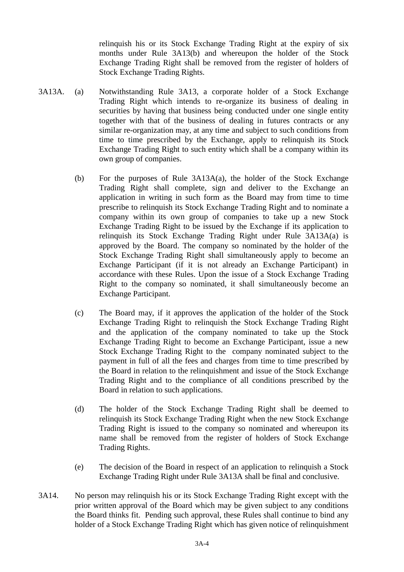relinquish his or its Stock Exchange Trading Right at the expiry of six months under Rule 3A13(b) and whereupon the holder of the Stock Exchange Trading Right shall be removed from the register of holders of Stock Exchange Trading Rights.

- 3A13A. (a) Notwithstanding Rule 3A13, a corporate holder of a Stock Exchange Trading Right which intends to re-organize its business of dealing in securities by having that business being conducted under one single entity together with that of the business of dealing in futures contracts or any similar re-organization may, at any time and subject to such conditions from time to time prescribed by the Exchange, apply to relinquish its Stock Exchange Trading Right to such entity which shall be a company within its own group of companies.
	- (b) For the purposes of Rule 3A13A(a), the holder of the Stock Exchange Trading Right shall complete, sign and deliver to the Exchange an application in writing in such form as the Board may from time to time prescribe to relinquish its Stock Exchange Trading Right and to nominate a company within its own group of companies to take up a new Stock Exchange Trading Right to be issued by the Exchange if its application to relinquish its Stock Exchange Trading Right under Rule 3A13A(a) is approved by the Board. The company so nominated by the holder of the Stock Exchange Trading Right shall simultaneously apply to become an Exchange Participant (if it is not already an Exchange Participant) in accordance with these Rules. Upon the issue of a Stock Exchange Trading Right to the company so nominated, it shall simultaneously become an Exchange Participant.
	- (c) The Board may, if it approves the application of the holder of the Stock Exchange Trading Right to relinquish the Stock Exchange Trading Right and the application of the company nominated to take up the Stock Exchange Trading Right to become an Exchange Participant, issue a new Stock Exchange Trading Right to the company nominated subject to the payment in full of all the fees and charges from time to time prescribed by the Board in relation to the relinquishment and issue of the Stock Exchange Trading Right and to the compliance of all conditions prescribed by the Board in relation to such applications.
	- (d) The holder of the Stock Exchange Trading Right shall be deemed to relinquish its Stock Exchange Trading Right when the new Stock Exchange Trading Right is issued to the company so nominated and whereupon its name shall be removed from the register of holders of Stock Exchange Trading Rights.
	- (e) The decision of the Board in respect of an application to relinquish a Stock Exchange Trading Right under Rule 3A13A shall be final and conclusive.
- 3A14. No person may relinquish his or its Stock Exchange Trading Right except with the prior written approval of the Board which may be given subject to any conditions the Board thinks fit. Pending such approval, these Rules shall continue to bind any holder of a Stock Exchange Trading Right which has given notice of relinquishment